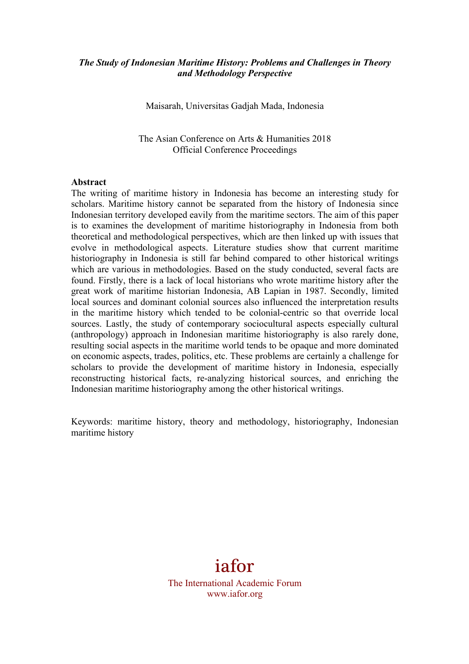#### *The Study of Indonesian Maritime History: Problems and Challenges in Theory and Methodology Perspective*

Maisarah, Universitas Gadjah Mada, Indonesia

The Asian Conference on Arts & Humanities 2018 Official Conference Proceedings

#### **Abstract**

The writing of maritime history in Indonesia has become an interesting study for scholars. Maritime history cannot be separated from the history of Indonesia since Indonesian territory developed eavily from the maritime sectors. The aim of this paper is to examines the development of maritime historiography in Indonesia from both theoretical and methodological perspectives, which are then linked up with issues that evolve in methodological aspects. Literature studies show that current maritime historiography in Indonesia is still far behind compared to other historical writings which are various in methodologies. Based on the study conducted, several facts are found. Firstly, there is a lack of local historians who wrote maritime history after the great work of maritime historian Indonesia, AB Lapian in 1987. Secondly, limited local sources and dominant colonial sources also influenced the interpretation results in the maritime history which tended to be colonial-centric so that override local sources. Lastly, the study of contemporary sociocultural aspects especially cultural (anthropology) approach in Indonesian maritime historiography is also rarely done, resulting social aspects in the maritime world tends to be opaque and more dominated on economic aspects, trades, politics, etc. These problems are certainly a challenge for scholars to provide the development of maritime history in Indonesia, especially reconstructing historical facts, re-analyzing historical sources, and enriching the Indonesian maritime historiography among the other historical writings.

Keywords: maritime history, theory and methodology, historiography, Indonesian maritime history

# iafor

The International Academic Forum www.iafor.org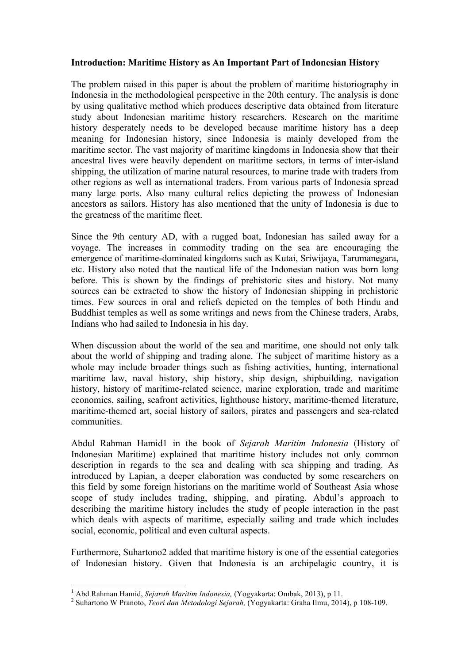# **Introduction: Maritime History as An Important Part of Indonesian History**

The problem raised in this paper is about the problem of maritime historiography in Indonesia in the methodological perspective in the 20th century. The analysis is done by using qualitative method which produces descriptive data obtained from literature study about Indonesian maritime history researchers. Research on the maritime history desperately needs to be developed because maritime history has a deep meaning for Indonesian history, since Indonesia is mainly developed from the maritime sector. The vast majority of maritime kingdoms in Indonesia show that their ancestral lives were heavily dependent on maritime sectors, in terms of inter-island shipping, the utilization of marine natural resources, to marine trade with traders from other regions as well as international traders. From various parts of Indonesia spread many large ports. Also many cultural relics depicting the prowess of Indonesian ancestors as sailors. History has also mentioned that the unity of Indonesia is due to the greatness of the maritime fleet.

Since the 9th century AD, with a rugged boat, Indonesian has sailed away for a voyage. The increases in commodity trading on the sea are encouraging the emergence of maritime-dominated kingdoms such as Kutai, Sriwijaya, Tarumanegara, etc. History also noted that the nautical life of the Indonesian nation was born long before. This is shown by the findings of prehistoric sites and history. Not many sources can be extracted to show the history of Indonesian shipping in prehistoric times. Few sources in oral and reliefs depicted on the temples of both Hindu and Buddhist temples as well as some writings and news from the Chinese traders, Arabs, Indians who had sailed to Indonesia in his day.

When discussion about the world of the sea and maritime, one should not only talk about the world of shipping and trading alone. The subject of maritime history as a whole may include broader things such as fishing activities, hunting, international maritime law, naval history, ship history, ship design, shipbuilding, navigation history, history of maritime-related science, marine exploration, trade and maritime economics, sailing, seafront activities, lighthouse history, maritime-themed literature, maritime-themed art, social history of sailors, pirates and passengers and sea-related communities.

Abdul Rahman Hamid1 in the book of *Sejarah Maritim Indonesia* (History of Indonesian Maritime) explained that maritime history includes not only common description in regards to the sea and dealing with sea shipping and trading. As introduced by Lapian, a deeper elaboration was conducted by some researchers on this field by some foreign historians on the maritime world of Southeast Asia whose scope of study includes trading, shipping, and pirating. Abdul's approach to describing the maritime history includes the study of people interaction in the past which deals with aspects of maritime, especially sailing and trade which includes social, economic, political and even cultural aspects.

Furthermore, Suhartono2 added that maritime history is one of the essential categories of Indonesian history. Given that Indonesia is an archipelagic country, it is

<sup>&</sup>lt;sup>1</sup> Abd Rahman Hamid, Sejarah Maritim Indonesia, (Yogyakarta: Ombak, 2013), p 11.

<sup>&</sup>lt;sup>2</sup> Suhartono W Pranoto, *Teori dan Metodologi Sejarah*, *(Yogyakarta: Graha Ilmu, 2014), p 108-109.*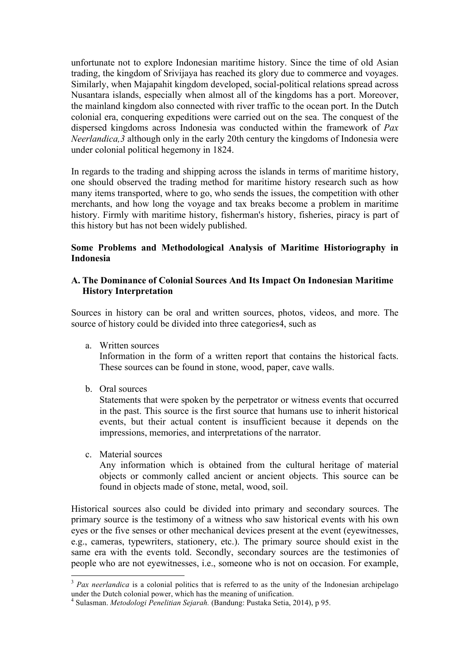unfortunate not to explore Indonesian maritime history. Since the time of old Asian trading, the kingdom of Srivijaya has reached its glory due to commerce and voyages. Similarly, when Majapahit kingdom developed, social-political relations spread across Nusantara islands, especially when almost all of the kingdoms has a port. Moreover, the mainland kingdom also connected with river traffic to the ocean port. In the Dutch colonial era, conquering expeditions were carried out on the sea. The conquest of the dispersed kingdoms across Indonesia was conducted within the framework of *Pax Neerlandica,3* although only in the early 20th century the kingdoms of Indonesia were under colonial political hegemony in 1824.

In regards to the trading and shipping across the islands in terms of maritime history, one should observed the trading method for maritime history research such as how many items transported, where to go, who sends the issues, the competition with other merchants, and how long the voyage and tax breaks become a problem in maritime history. Firmly with maritime history, fisherman's history, fisheries, piracy is part of this history but has not been widely published.

# **Some Problems and Methodological Analysis of Maritime Historiography in Indonesia**

# **A. The Dominance of Colonial Sources And Its Impact On Indonesian Maritime History Interpretation**

Sources in history can be oral and written sources, photos, videos, and more. The source of history could be divided into three categories4, such as

a. Written sources

Information in the form of a written report that contains the historical facts. These sources can be found in stone, wood, paper, cave walls.

b. Oral sources

Statements that were spoken by the perpetrator or witness events that occurred in the past. This source is the first source that humans use to inherit historical events, but their actual content is insufficient because it depends on the impressions, memories, and interpretations of the narrator.

c. Material sources

<u> 1989 - Johann Stein, marwolaethau a bh</u>

Any information which is obtained from the cultural heritage of material objects or commonly called ancient or ancient objects. This source can be found in objects made of stone, metal, wood, soil.

Historical sources also could be divided into primary and secondary sources. The primary source is the testimony of a witness who saw historical events with his own eyes or the five senses or other mechanical devices present at the event (eyewitnesses, e.g., cameras, typewriters, stationery, etc.). The primary source should exist in the same era with the events told. Secondly, secondary sources are the testimonies of people who are not eyewitnesses, i.e., someone who is not on occasion. For example,

<sup>&</sup>lt;sup>3</sup> Pax neerlandica is a colonial politics that is referred to as the unity of the Indonesian archipelago under the Dutch colonial power, which has the meaning of unification.

<sup>4</sup> Sulasman. *Metodologi Penelitian Sejarah.* (Bandung: Pustaka Setia, 2014), p 95.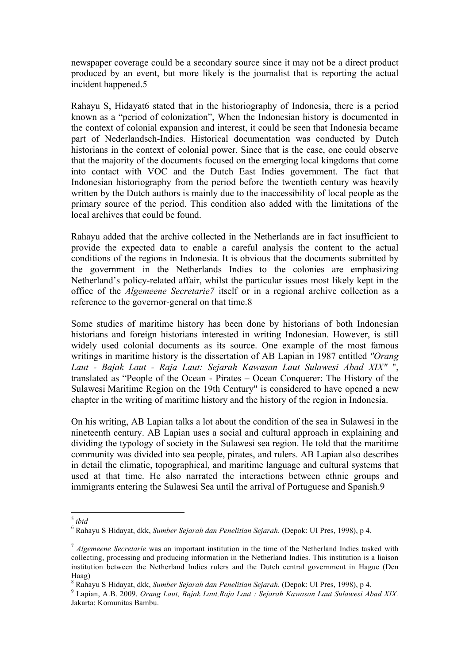newspaper coverage could be a secondary source since it may not be a direct product produced by an event, but more likely is the journalist that is reporting the actual incident happened.5

Rahayu S, Hidayat6 stated that in the historiography of Indonesia, there is a period known as a "period of colonization", When the Indonesian history is documented in the context of colonial expansion and interest, it could be seen that Indonesia became part of Nederlandsch-Indies. Historical documentation was conducted by Dutch historians in the context of colonial power. Since that is the case, one could observe that the majority of the documents focused on the emerging local kingdoms that come into contact with VOC and the Dutch East Indies government. The fact that Indonesian historiography from the period before the twentieth century was heavily written by the Dutch authors is mainly due to the inaccessibility of local people as the primary source of the period. This condition also added with the limitations of the local archives that could be found.

Rahayu added that the archive collected in the Netherlands are in fact insufficient to provide the expected data to enable a careful analysis the content to the actual conditions of the regions in Indonesia. It is obvious that the documents submitted by the government in the Netherlands Indies to the colonies are emphasizing Netherland's policy-related affair, whilst the particular issues most likely kept in the office of the *Algemeene Secretarie7* itself or in a regional archive collection as a reference to the governor-general on that time.8

Some studies of maritime history has been done by historians of both Indonesian historians and foreign historians interested in writing Indonesian. However, is still widely used colonial documents as its source. One example of the most famous writings in maritime history is the dissertation of AB Lapian in 1987 entitled *"Orang Laut - Bajak Laut - Raja Laut: Sejarah Kawasan Laut Sulawesi Abad XIX"* ", translated as "People of the Ocean - Pirates – Ocean Conquerer: The History of the Sulawesi Maritime Region on the 19th Century" is considered to have opened a new chapter in the writing of maritime history and the history of the region in Indonesia.

On his writing, AB Lapian talks a lot about the condition of the sea in Sulawesi in the nineteenth century. AB Lapian uses a social and cultural approach in explaining and dividing the typology of society in the Sulawesi sea region. He told that the maritime community was divided into sea people, pirates, and rulers. AB Lapian also describes in detail the climatic, topographical, and maritime language and cultural systems that used at that time. He also narrated the interactions between ethnic groups and immigrants entering the Sulawesi Sea until the arrival of Portuguese and Spanish.9

<u> 1989 - Johann Stein, marwolaethau a bh</u>

<sup>5</sup> *ibid*

<sup>6</sup> Rahayu S Hidayat, dkk, *Sumber Sejarah dan Penelitian Sejarah.* (Depok: UI Pres, 1998), p 4.

<sup>7</sup> *Algemeene Secretarie* was an important institution in the time of the Netherland Indies tasked with collecting, processing and producing information in the Netherland Indies. This institution is a liaison institution between the Netherland Indies rulers and the Dutch central government in Hague (Den Haag)<br><sup>8</sup> Rahavu S Hidavat. dkk. *Sumber Seiarah dan Penelitian Sejarah*. (Depok: UI Pres, 1998), p 4.

<sup>&</sup>lt;sup>9</sup> Lapian, A.B. 2009. *Orang Laut, Bajak Laut, Raja Laut : Sejarah Kawasan Laut Sulawesi Abad XIX.* Jakarta: Komunitas Bambu.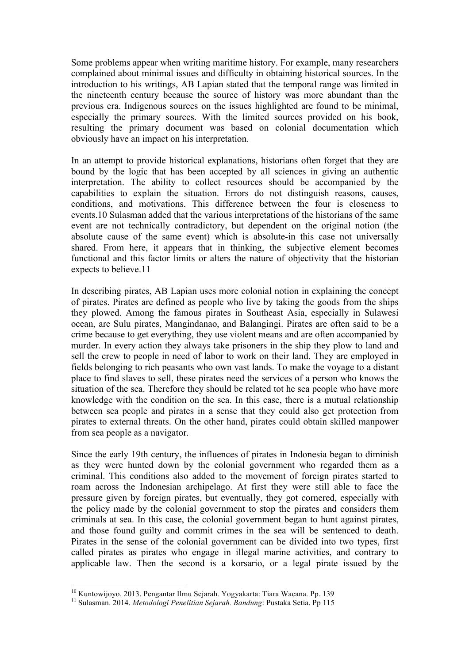Some problems appear when writing maritime history. For example, many researchers complained about minimal issues and difficulty in obtaining historical sources. In the introduction to his writings, AB Lapian stated that the temporal range was limited in the nineteenth century because the source of history was more abundant than the previous era. Indigenous sources on the issues highlighted are found to be minimal, especially the primary sources. With the limited sources provided on his book, resulting the primary document was based on colonial documentation which obviously have an impact on his interpretation.

In an attempt to provide historical explanations, historians often forget that they are bound by the logic that has been accepted by all sciences in giving an authentic interpretation. The ability to collect resources should be accompanied by the capabilities to explain the situation. Errors do not distinguish reasons, causes, conditions, and motivations. This difference between the four is closeness to events.10 Sulasman added that the various interpretations of the historians of the same event are not technically contradictory, but dependent on the original notion (the absolute cause of the same event) which is absolute-in this case not universally shared. From here, it appears that in thinking, the subjective element becomes functional and this factor limits or alters the nature of objectivity that the historian expects to believe.11

In describing pirates, AB Lapian uses more colonial notion in explaining the concept of pirates. Pirates are defined as people who live by taking the goods from the ships they plowed. Among the famous pirates in Southeast Asia, especially in Sulawesi ocean, are Sulu pirates, Mangindanao, and Balangingi. Pirates are often said to be a crime because to get everything, they use violent means and are often accompanied by murder. In every action they always take prisoners in the ship they plow to land and sell the crew to people in need of labor to work on their land. They are employed in fields belonging to rich peasants who own vast lands. To make the voyage to a distant place to find slaves to sell, these pirates need the services of a person who knows the situation of the sea. Therefore they should be related tot he sea people who have more knowledge with the condition on the sea. In this case, there is a mutual relationship between sea people and pirates in a sense that they could also get protection from pirates to external threats. On the other hand, pirates could obtain skilled manpower from sea people as a navigator.

Since the early 19th century, the influences of pirates in Indonesia began to diminish as they were hunted down by the colonial government who regarded them as a criminal. This conditions also added to the movement of foreign pirates started to roam across the Indonesian archipelago. At first they were still able to face the pressure given by foreign pirates, but eventually, they got cornered, especially with the policy made by the colonial government to stop the pirates and considers them criminals at sea. In this case, the colonial government began to hunt against pirates, and those found guilty and commit crimes in the sea will be sentenced to death. Pirates in the sense of the colonial government can be divided into two types, first called pirates as pirates who engage in illegal marine activities, and contrary to applicable law. Then the second is a korsario, or a legal pirate issued by the

 

<sup>&</sup>lt;sup>10</sup> Kuntowijoyo. 2013. Pengantar Ilmu Sejarah. Yogyakarta: Tiara Wacana. Pp. 139<br><sup>11</sup> Sulasman. 2014. *Metodologi Penelitian Sejarah. Bandung*: Pustaka Setia. Pp 115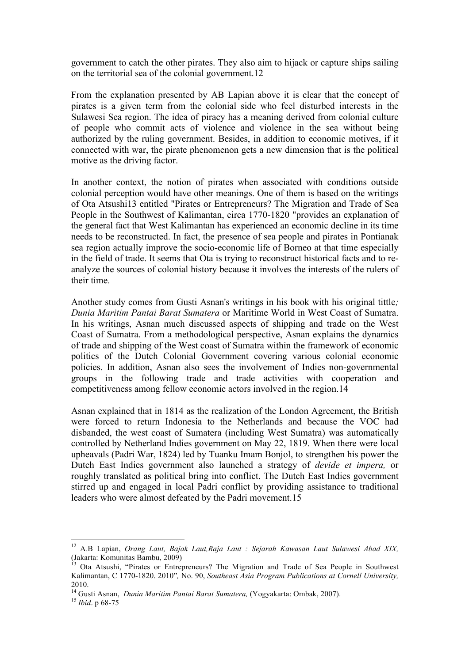government to catch the other pirates. They also aim to hijack or capture ships sailing on the territorial sea of the colonial government.12

From the explanation presented by AB Lapian above it is clear that the concept of pirates is a given term from the colonial side who feel disturbed interests in the Sulawesi Sea region. The idea of piracy has a meaning derived from colonial culture of people who commit acts of violence and violence in the sea without being authorized by the ruling government. Besides, in addition to economic motives, if it connected with war, the pirate phenomenon gets a new dimension that is the political motive as the driving factor.

In another context, the notion of pirates when associated with conditions outside colonial perception would have other meanings. One of them is based on the writings of Ota Atsushi13 entitled "Pirates or Entrepreneurs? The Migration and Trade of Sea People in the Southwest of Kalimantan, circa 1770-1820 "provides an explanation of the general fact that West Kalimantan has experienced an economic decline in its time needs to be reconstructed. In fact, the presence of sea people and pirates in Pontianak sea region actually improve the socio-economic life of Borneo at that time especially in the field of trade. It seems that Ota is trying to reconstruct historical facts and to reanalyze the sources of colonial history because it involves the interests of the rulers of their time.

Another study comes from Gusti Asnan's writings in his book with his original tittle*; Dunia Maritim Pantai Barat Sumatera* or Maritime World in West Coast of Sumatra. In his writings, Asnan much discussed aspects of shipping and trade on the West Coast of Sumatra. From a methodological perspective, Asnan explains the dynamics of trade and shipping of the West coast of Sumatra within the framework of economic politics of the Dutch Colonial Government covering various colonial economic policies. In addition, Asnan also sees the involvement of Indies non-governmental groups in the following trade and trade activities with cooperation and competitiveness among fellow economic actors involved in the region.14

Asnan explained that in 1814 as the realization of the London Agreement, the British were forced to return Indonesia to the Netherlands and because the VOC had disbanded, the west coast of Sumatera (including West Sumatra) was automatically controlled by Netherland Indies government on May 22, 1819. When there were local upheavals (Padri War, 1824) led by Tuanku Imam Bonjol, to strengthen his power the Dutch East Indies government also launched a strategy of *devide et impera,* or roughly translated as political bring into conflict. The Dutch East Indies government stirred up and engaged in local Padri conflict by providing assistance to traditional leaders who were almost defeated by the Padri movement.15

 

<sup>12</sup> A.B Lapian, *Orang Laut, Bajak Laut,Raja Laut : Sejarah Kawasan Laut Sulawesi Abad XIX,* (Jakarta: Komunitas Bambu, 2009)

<sup>&</sup>lt;sup>13</sup> Ota Atsushi, "Pirates or Entrepreneurs? The Migration and Trade of Sea People in Southwest Kalimantan, C 1770-1820. 2010"*,* No. 90, *Southeast Asia Program Publications at Cornell University,*  2010.

<sup>14</sup> Gusti Asnan, *Dunia Maritim Pantai Barat Sumatera,* (Yogyakarta: Ombak, 2007). <sup>15</sup> *Ibid*. p 68-75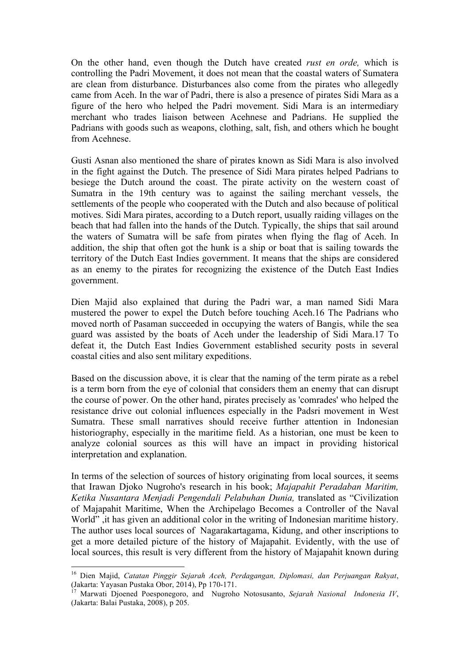On the other hand, even though the Dutch have created *rust en orde,* which is controlling the Padri Movement, it does not mean that the coastal waters of Sumatera are clean from disturbance. Disturbances also come from the pirates who allegedly came from Aceh. In the war of Padri, there is also a presence of pirates Sidi Mara as a figure of the hero who helped the Padri movement. Sidi Mara is an intermediary merchant who trades liaison between Acehnese and Padrians. He supplied the Padrians with goods such as weapons, clothing, salt, fish, and others which he bought from Acehnese.

Gusti Asnan also mentioned the share of pirates known as Sidi Mara is also involved in the fight against the Dutch. The presence of Sidi Mara pirates helped Padrians to besiege the Dutch around the coast. The pirate activity on the western coast of Sumatra in the 19th century was to against the sailing merchant vessels, the settlements of the people who cooperated with the Dutch and also because of political motives. Sidi Mara pirates, according to a Dutch report, usually raiding villages on the beach that had fallen into the hands of the Dutch. Typically, the ships that sail around the waters of Sumatra will be safe from pirates when flying the flag of Aceh. In addition, the ship that often got the hunk is a ship or boat that is sailing towards the territory of the Dutch East Indies government. It means that the ships are considered as an enemy to the pirates for recognizing the existence of the Dutch East Indies government.

Dien Majid also explained that during the Padri war, a man named Sidi Mara mustered the power to expel the Dutch before touching Aceh.16 The Padrians who moved north of Pasaman succeeded in occupying the waters of Bangis, while the sea guard was assisted by the boats of Aceh under the leadership of Sidi Mara.17 To defeat it, the Dutch East Indies Government established security posts in several coastal cities and also sent military expeditions.

Based on the discussion above, it is clear that the naming of the term pirate as a rebel is a term born from the eye of colonial that considers them an enemy that can disrupt the course of power. On the other hand, pirates precisely as 'comrades' who helped the resistance drive out colonial influences especially in the Padsri movement in West Sumatra. These small narratives should receive further attention in Indonesian historiography, especially in the maritime field. As a historian, one must be keen to analyze colonial sources as this will have an impact in providing historical interpretation and explanation.

In terms of the selection of sources of history originating from local sources, it seems that Irawan Djoko Nugroho's research in his book; *Majapahit Peradaban Maritim, Ketika Nusantara Menjadi Pengendali Pelabuhan Dunia,* translated as "Civilization of Majapahit Maritime, When the Archipelago Becomes a Controller of the Naval World" , it has given an additional color in the writing of Indonesian maritime history. The author uses local sources of Nagarakartagama, Kidung, and other inscriptions to get a more detailed picture of the history of Majapahit. Evidently, with the use of local sources, this result is very different from the history of Majapahit known during

<sup>&</sup>lt;sup>16</sup> Dien Majid, *Catatan Pinggir Sejarah Aceh, Perdagangan, Diplomasi, dan Perjuangan Rakyat,*<br>(Jakarta: Yavasan Pustaka Obor. 2014). Pp 170-171.

 $\frac{17}{17}$  Marwati Djoened Poesponegoro, and Nugroho Notosusanto, *Sejarah Nasional Indonesia IV*, (Jakarta: Balai Pustaka, 2008), p 205.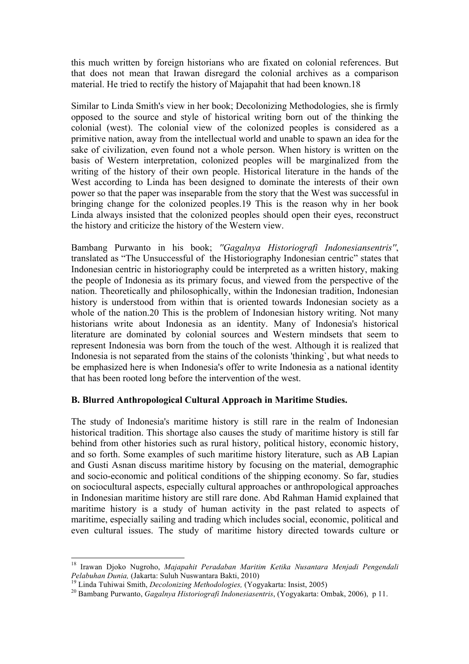this much written by foreign historians who are fixated on colonial references. But that does not mean that Irawan disregard the colonial archives as a comparison material. He tried to rectify the history of Majapahit that had been known.18

Similar to Linda Smith's view in her book; Decolonizing Methodologies, she is firmly opposed to the source and style of historical writing born out of the thinking the colonial (west). The colonial view of the colonized peoples is considered as a primitive nation, away from the intellectual world and unable to spawn an idea for the sake of civilization, even found not a whole person. When history is written on the basis of Western interpretation, colonized peoples will be marginalized from the writing of the history of their own people. Historical literature in the hands of the West according to Linda has been designed to dominate the interests of their own power so that the paper was inseparable from the story that the West was successful in bringing change for the colonized peoples.19 This is the reason why in her book Linda always insisted that the colonized peoples should open their eyes, reconstruct the history and criticize the history of the Western view.

Bambang Purwanto in his book; *''Gagalnya Historiografi Indonesiansentris''*, translated as "The Unsuccessful of the Historiography Indonesian centric" states that Indonesian centric in historiography could be interpreted as a written history, making the people of Indonesia as its primary focus, and viewed from the perspective of the nation. Theoretically and philosophically, within the Indonesian tradition, Indonesian history is understood from within that is oriented towards Indonesian society as a whole of the nation.20 This is the problem of Indonesian history writing. Not many historians write about Indonesia as an identity. Many of Indonesia's historical literature are dominated by colonial sources and Western mindsets that seem to represent Indonesia was born from the touch of the west. Although it is realized that Indonesia is not separated from the stains of the colonists 'thinking`, but what needs to be emphasized here is when Indonesia's offer to write Indonesia as a national identity that has been rooted long before the intervention of the west.

# **B. Blurred Anthropological Cultural Approach in Maritime Studies.**

The study of Indonesia's maritime history is still rare in the realm of Indonesian historical tradition. This shortage also causes the study of maritime history is still far behind from other histories such as rural history, political history, economic history, and so forth. Some examples of such maritime history literature, such as AB Lapian and Gusti Asnan discuss maritime history by focusing on the material, demographic and socio-economic and political conditions of the shipping economy. So far, studies on sociocultural aspects, especially cultural approaches or anthropological approaches in Indonesian maritime history are still rare done. Abd Rahman Hamid explained that maritime history is a study of human activity in the past related to aspects of maritime, especially sailing and trading which includes social, economic, political and even cultural issues. The study of maritime history directed towards culture or

<u> 1989 - Johann Stein, marwolaethau a bh</u>

<sup>18</sup> Irawan Djoko Nugroho, *Majapahit Peradaban Maritim Ketika Nusantara Menjadi Pengendali* 

<sup>&</sup>lt;sup>19</sup> Linda Tuhiwai Smith, *Decolonizing Methodologies*, (Yogyakarta: Insist, 2005)<br><sup>20</sup> Bambang Purwanto, *Gagalnya Historiografi Indonesiasentris*, (Yogyakarta: Ombak, 2006), p 11.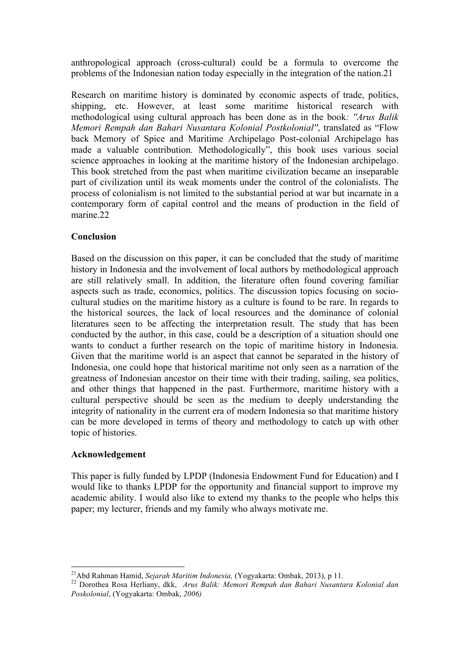anthropological approach (cross-cultural) could be a formula to overcome the problems of the Indonesian nation today especially in the integration of the nation.21

Research on maritime history is dominated by economic aspects of trade, politics, shipping, etc. However, at least some maritime historical research with methodological using cultural approach has been done as in the book*: ''Arus Balik Memori Rempah dan Bahari Nusantara Kolonial Postkolonial''*, translated as "Flow back Memory of Spice and Maritime Archipelago Post-colonial Archipelago has made a valuable contribution. Methodologically", this book uses various social science approaches in looking at the maritime history of the Indonesian archipelago. This book stretched from the past when maritime civilization became an inseparable part of civilization until its weak moments under the control of the colonialists. The process of colonialism is not limited to the substantial period at war but incarnate in a contemporary form of capital control and the means of production in the field of marine.22

# **Conclusion**

Based on the discussion on this paper, it can be concluded that the study of maritime history in Indonesia and the involvement of local authors by methodological approach are still relatively small. In addition, the literature often found covering familiar aspects such as trade, economics, politics. The discussion topics focusing on sociocultural studies on the maritime history as a culture is found to be rare. In regards to the historical sources, the lack of local resources and the dominance of colonial literatures seen to be affecting the interpretation result. The study that has been conducted by the author, in this case, could be a description of a situation should one wants to conduct a further research on the topic of maritime history in Indonesia. Given that the maritime world is an aspect that cannot be separated in the history of Indonesia, one could hope that historical maritime not only seen as a narration of the greatness of Indonesian ancestor on their time with their trading, sailing, sea politics, and other things that happened in the past. Furthermore, maritime history with a cultural perspective should be seen as the medium to deeply understanding the integrity of nationality in the current era of modern Indonesia so that maritime history can be more developed in terms of theory and methodology to catch up with other topic of histories.

#### **Acknowledgement**

This paper is fully funded by LPDP (Indonesia Endowment Fund for Education) and I would like to thanks LPDP for the opportunity and financial support to improve my academic ability. I would also like to extend my thanks to the people who helps this paper; my lecturer, friends and my family who always motivate me.

<sup>&</sup>lt;sup>21</sup>Abd Rahman Hamid, *Sejarah Maritim Indonesia*, (Yogyakarta: Ombak, 2013), p 11.<br><sup>22</sup> Dorothea Rosa Herliany, dkk, *Arus Balik: Memori Rempah dan Bahari Nusantara Kolonial dan Poskolonial*, (Yogyakarta: Ombak, *2006)*